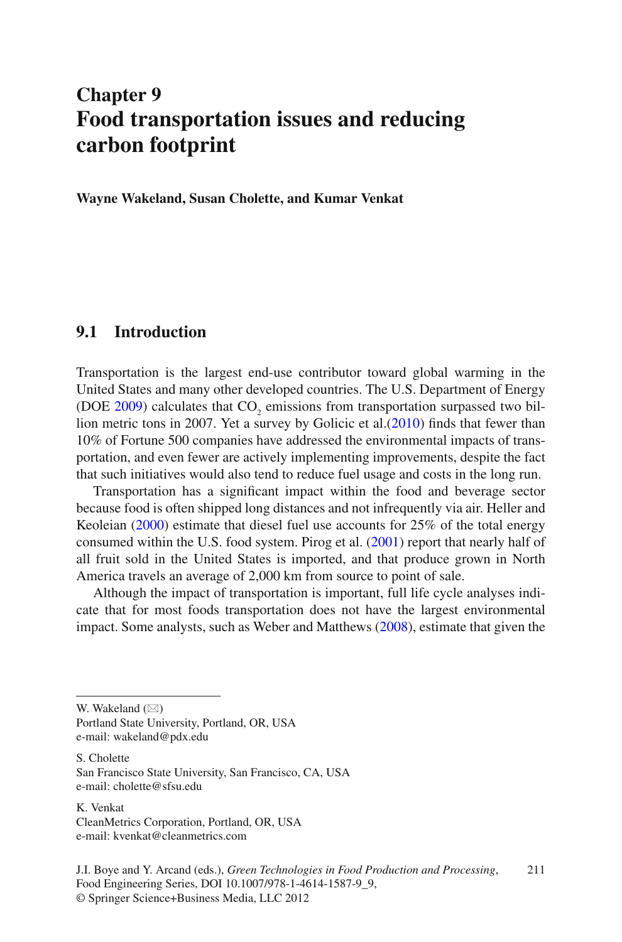# **Chapter 9 Food transportation issues and reducing carbon footprint**

**Wayne Wakeland, Susan Cholette, and Kumar Venkat** 

# **9.1 Introduction**

 Transportation is the largest end-use contributor toward global warming in the United States and many other developed countries. The U.S. Department of Energy (DOE 2009) calculates that  $CO_2$  emissions from transportation surpassed two billion metric tons in 2007. Yet a survey by Golicic et al.  $(2010)$  finds that fewer than 10% of Fortune 500 companies have addressed the environmental impacts of transportation, and even fewer are actively implementing improvements, despite the fact that such initiatives would also tend to reduce fuel usage and costs in the long run.

Transportation has a significant impact within the food and beverage sector because food is often shipped long distances and not infrequently via air. Heller and Keoleian (2000) estimate that diesel fuel use accounts for 25% of the total energy consumed within the U.S. food system. Pirog et al. [\( 2001](#page-24-0) ) report that nearly half of all fruit sold in the United States is imported, and that produce grown in North America travels an average of 2,000 km from source to point of sale.

 Although the impact of transportation is important, full life cycle analyses indicate that for most foods transportation does not have the largest environmental impact. Some analysts, such as Weber and Matthews [\( 2008](#page-25-0) ) , estimate that given the

W. Wakeland  $(\boxtimes)$ 

Portland State University, Portland, OR, USA e-mail: wakeland@pdx.edu

 S. Cholette San Francisco State University, San Francisco, CA, USA e-mail: cholette@sfsu.edu

 K. Venkat CleanMetrics Corporation, Portland, OR, USA e-mail: kvenkat@cleanmetrics.com

J.I. Boye and Y. Arcand (eds.), *Green Technologies in Food Production and Processing*, 211 Food Engineering Series, DOI 10.1007/978-1-4614-1587-9\_9, © Springer Science+Business Media, LLC 2012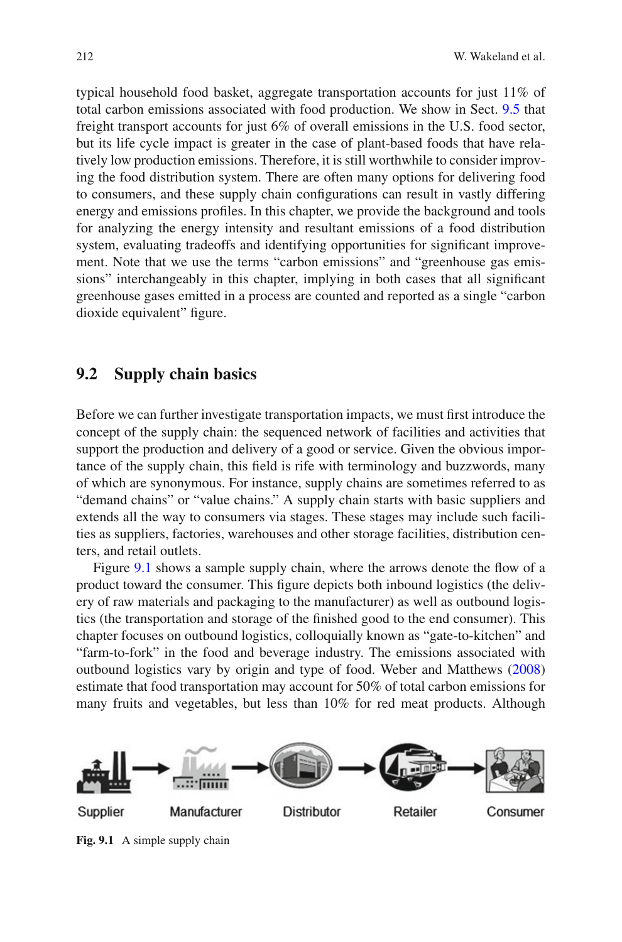typical household food basket, aggregate transportation accounts for just 11% of total carbon emissions associated with food production. We show in Sect. [9.5](#page-13-0) that freight transport accounts for just 6% of overall emissions in the U.S. food sector, but its life cycle impact is greater in the case of plant-based foods that have relatively low production emissions. Therefore, it is still worthwhile to consider improving the food distribution system. There are often many options for delivering food to consumers, and these supply chain configurations can result in vastly differing energy and emissions profiles. In this chapter, we provide the background and tools for analyzing the energy intensity and resultant emissions of a food distribution system, evaluating tradeoffs and identifying opportunities for significant improvement. Note that we use the terms "carbon emissions" and "greenhouse gas emissions" interchangeably in this chapter, implying in both cases that all significant greenhouse gases emitted in a process are counted and reported as a single "carbon dioxide equivalent" figure.

# **9.2 Supply chain basics**

Before we can further investigate transportation impacts, we must first introduce the concept of the supply chain: the sequenced network of facilities and activities that support the production and delivery of a good or service. Given the obvious importance of the supply chain, this field is rife with terminology and buzzwords, many of which are synonymous. For instance, supply chains are sometimes referred to as "demand chains" or "value chains." A supply chain starts with basic suppliers and extends all the way to consumers via stages. These stages may include such facilities as suppliers, factories, warehouses and other storage facilities, distribution centers, and retail outlets.

Figure 9.1 shows a sample supply chain, where the arrows denote the flow of a product toward the consumer. This figure depicts both inbound logistics (the delivery of raw materials and packaging to the manufacturer) as well as outbound logistics (the transportation and storage of the finished good to the end consumer). This chapter focuses on outbound logistics, colloquially known as "gate-to-kitchen" and "farm-to-fork" in the food and beverage industry. The emissions associated with outbound logistics vary by origin and type of food. Weber and Matthews (2008) estimate that food transportation may account for 50% of total carbon emissions for many fruits and vegetables, but less than 10% for red meat products. Although



 **Fig. 9.1** A simple supply chain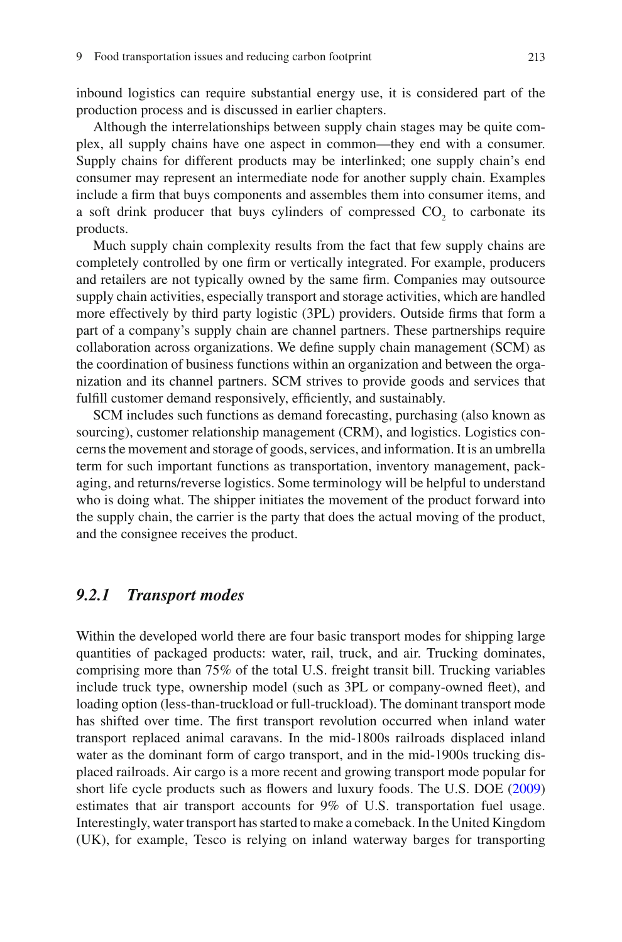inbound logistics can require substantial energy use, it is considered part of the production process and is discussed in earlier chapters.

 Although the interrelationships between supply chain stages may be quite complex, all supply chains have one aspect in common—they end with a consumer. Supply chains for different products may be interlinked; one supply chain's end consumer may represent an intermediate node for another supply chain. Examples include a firm that buys components and assembles them into consumer items, and a soft drink producer that buys cylinders of compressed  $CO<sub>2</sub>$  to carbonate its products.

 Much supply chain complexity results from the fact that few supply chains are completely controlled by one firm or vertically integrated. For example, producers and retailers are not typically owned by the same firm. Companies may outsource supply chain activities, especially transport and storage activities, which are handled more effectively by third party logistic (3PL) providers. Outside firms that form a part of a company's supply chain are channel partners. These partnerships require collaboration across organizations. We define supply chain management (SCM) as the coordination of business functions within an organization and between the organization and its channel partners. SCM strives to provide goods and services that fulfill customer demand responsively, efficiently, and sustainably.

 SCM includes such functions as demand forecasting, purchasing (also known as sourcing), customer relationship management (CRM), and logistics. Logistics concerns the movement and storage of goods, services, and information. It is an umbrella term for such important functions as transportation, inventory management, packaging, and returns/reverse logistics. Some terminology will be helpful to understand who is doing what. The shipper initiates the movement of the product forward into the supply chain, the carrier is the party that does the actual moving of the product, and the consignee receives the product.

### *9.2.1 Transport modes*

 Within the developed world there are four basic transport modes for shipping large quantities of packaged products: water, rail, truck, and air. Trucking dominates, comprising more than 75% of the total U.S. freight transit bill. Trucking variables include truck type, ownership model (such as 3PL or company-owned fleet), and loading option (less-than-truckload or full-truckload). The dominant transport mode has shifted over time. The first transport revolution occurred when inland water transport replaced animal caravans. In the mid-1800s railroads displaced inland water as the dominant form of cargo transport, and in the mid-1900s trucking displaced railroads. Air cargo is a more recent and growing transport mode popular for short life cycle products such as flowers and luxury foods. The U.S. DOE (2009) estimates that air transport accounts for 9% of U.S. transportation fuel usage. Interestingly, water transport has started to make a comeback. In the United Kingdom (UK), for example, Tesco is relying on inland waterway barges for transporting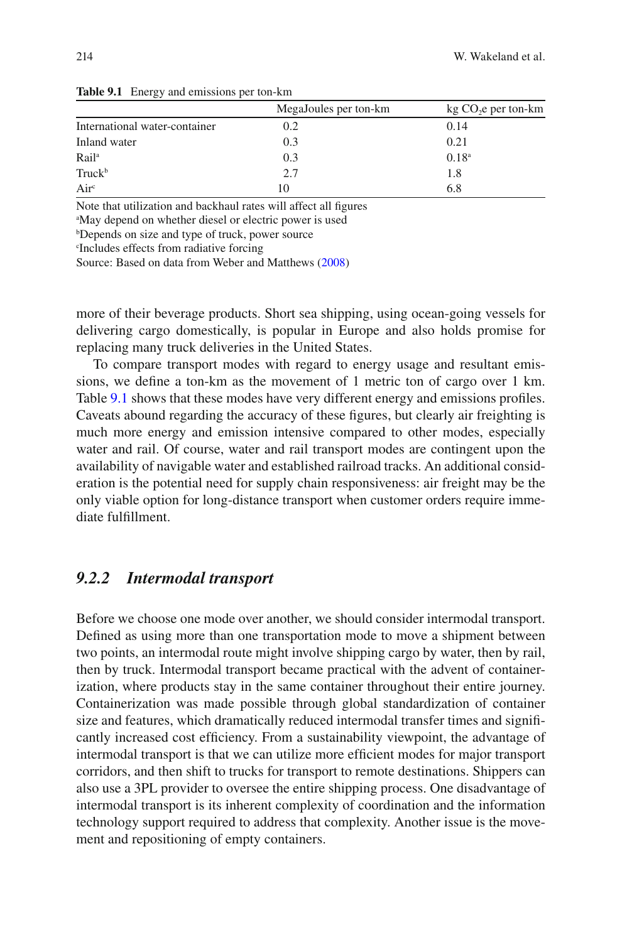|                               | MegaJoules per ton-km | $kg CO2$ e per ton-km |
|-------------------------------|-----------------------|-----------------------|
| International water-container | 0.2                   | 0.14                  |
| Inland water                  | 0.3                   | 0.21                  |
| Rain <sup>a</sup>             | 0.3                   | $0.18^{a}$            |
| Truck <sup>b</sup>            | 2.7                   | 1.8                   |
| Air <sup>c</sup>              | 10                    | 6.8                   |

 **Table 9.1** Energy and emissions per ton-km

Note that utilization and backhaul rates will affect all figures

May depend on whether diesel or electric power is used

b Depends on size and type of truck, power source

c Includes effects from radiative forcing

Source: Based on data from Weber and Matthews (2008)

more of their beverage products. Short sea shipping, using ocean-going vessels for delivering cargo domestically, is popular in Europe and also holds promise for replacing many truck deliveries in the United States.

 To compare transport modes with regard to energy usage and resultant emissions, we define a ton-km as the movement of 1 metric ton of cargo over 1 km. Table 9.1 shows that these modes have very different energy and emissions profiles. Caveats abound regarding the accuracy of these figures, but clearly air freighting is much more energy and emission intensive compared to other modes, especially water and rail. Of course, water and rail transport modes are contingent upon the availability of navigable water and established railroad tracks. An additional consideration is the potential need for supply chain responsiveness: air freight may be the only viable option for long-distance transport when customer orders require immediate fulfillment

# *9.2.2 Intermodal transport*

 Before we choose one mode over another, we should consider intermodal transport. Defined as using more than one transportation mode to move a shipment between two points, an intermodal route might involve shipping cargo by water, then by rail, then by truck. Intermodal transport became practical with the advent of containerization, where products stay in the same container throughout their entire journey. Containerization was made possible through global standardization of container size and features, which dramatically reduced intermodal transfer times and significantly increased cost efficiency. From a sustainability viewpoint, the advantage of intermodal transport is that we can utilize more efficient modes for major transport corridors, and then shift to trucks for transport to remote destinations. Shippers can also use a 3PL provider to oversee the entire shipping process. One disadvantage of intermodal transport is its inherent complexity of coordination and the information technology support required to address that complexity. Another issue is the movement and repositioning of empty containers.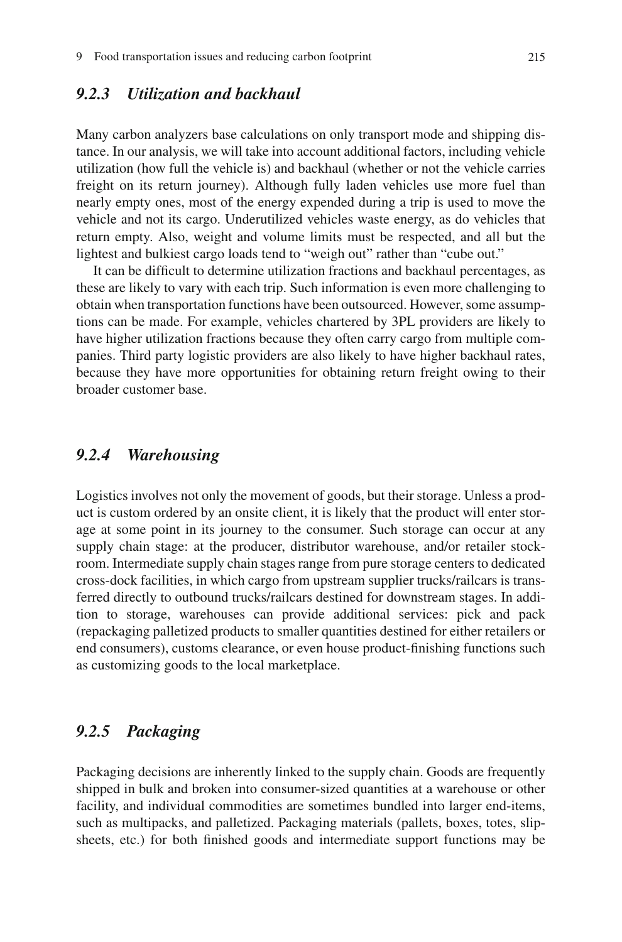# *9.2.3 Utilization and backhaul*

 Many carbon analyzers base calculations on only transport mode and shipping distance. In our analysis, we will take into account additional factors, including vehicle utilization (how full the vehicle is) and backhaul (whether or not the vehicle carries freight on its return journey). Although fully laden vehicles use more fuel than nearly empty ones, most of the energy expended during a trip is used to move the vehicle and not its cargo. Underutilized vehicles waste energy, as do vehicles that return empty. Also, weight and volume limits must be respected, and all but the lightest and bulkiest cargo loads tend to "weigh out" rather than "cube out."

It can be difficult to determine utilization fractions and backhaul percentages, as these are likely to vary with each trip. Such information is even more challenging to obtain when transportation functions have been outsourced. However, some assumptions can be made. For example, vehicles chartered by 3PL providers are likely to have higher utilization fractions because they often carry cargo from multiple companies. Third party logistic providers are also likely to have higher backhaul rates, because they have more opportunities for obtaining return freight owing to their broader customer base.

## *9.2.4 Warehousing*

 Logistics involves not only the movement of goods, but their storage. Unless a product is custom ordered by an onsite client, it is likely that the product will enter storage at some point in its journey to the consumer. Such storage can occur at any supply chain stage: at the producer, distributor warehouse, and/or retailer stockroom. Intermediate supply chain stages range from pure storage centers to dedicated cross-dock facilities, in which cargo from upstream supplier trucks/railcars is transferred directly to outbound trucks/railcars destined for downstream stages. In addition to storage, warehouses can provide additional services: pick and pack (repackaging palletized products to smaller quantities destined for either retailers or end consumers), customs clearance, or even house product-finishing functions such as customizing goods to the local marketplace.

# *9.2.5 Packaging*

 Packaging decisions are inherently linked to the supply chain. Goods are frequently shipped in bulk and broken into consumer-sized quantities at a warehouse or other facility, and individual commodities are sometimes bundled into larger end-items, such as multipacks, and palletized. Packaging materials (pallets, boxes, totes, slipsheets, etc.) for both finished goods and intermediate support functions may be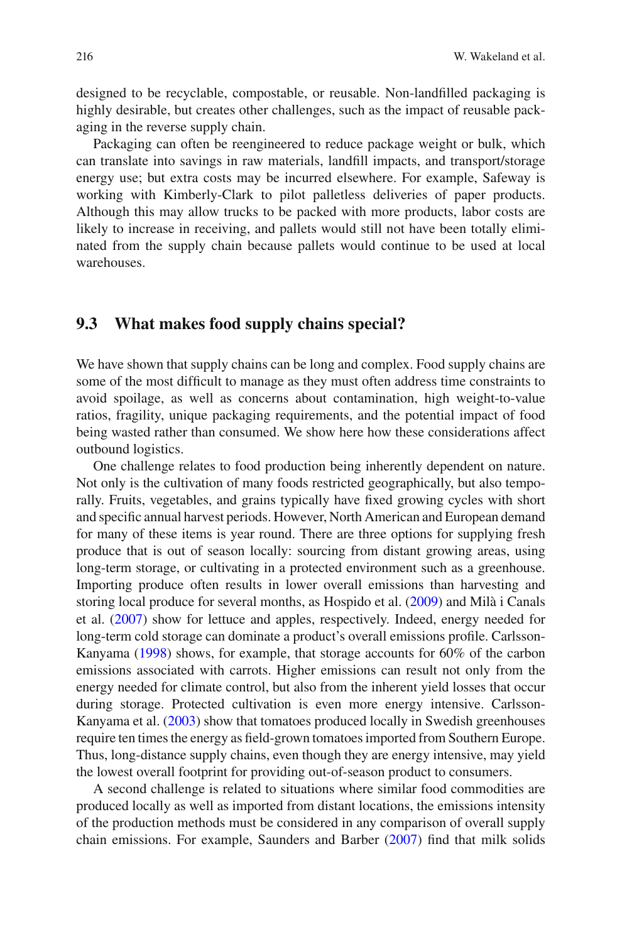designed to be recyclable, compostable, or reusable. Non-landfilled packaging is highly desirable, but creates other challenges, such as the impact of reusable packaging in the reverse supply chain.

 Packaging can often be reengineered to reduce package weight or bulk, which can translate into savings in raw materials, landfill impacts, and transport/storage energy use; but extra costs may be incurred elsewhere. For example, Safeway is working with Kimberly-Clark to pilot palletless deliveries of paper products. Although this may allow trucks to be packed with more products, labor costs are likely to increase in receiving, and pallets would still not have been totally eliminated from the supply chain because pallets would continue to be used at local warehouses.

# **9.3 What makes food supply chains special?**

We have shown that supply chains can be long and complex. Food supply chains are some of the most difficult to manage as they must often address time constraints to avoid spoilage, as well as concerns about contamination, high weight-to-value ratios, fragility, unique packaging requirements, and the potential impact of food being wasted rather than consumed. We show here how these considerations affect outbound logistics.

 One challenge relates to food production being inherently dependent on nature. Not only is the cultivation of many foods restricted geographically, but also temporally. Fruits, vegetables, and grains typically have fixed growing cycles with short and specific annual harvest periods. However, North American and European demand for many of these items is year round. There are three options for supplying fresh produce that is out of season locally: sourcing from distant growing areas, using long-term storage, or cultivating in a protected environment such as a greenhouse. Importing produce often results in lower overall emissions than harvesting and storing local produce for several months, as Hospido et al. (2009) and Milà i Canals et al. (2007) show for lettuce and apples, respectively. Indeed, energy needed for long-term cold storage can dominate a product's overall emissions profile. Carlsson-Kanyama (1998) shows, for example, that storage accounts for 60% of the carbon emissions associated with carrots. Higher emissions can result not only from the energy needed for climate control, but also from the inherent yield losses that occur during storage. Protected cultivation is even more energy intensive. Carlsson-Kanyama et al. (2003) show that tomatoes produced locally in Swedish greenhouses require ten times the energy as field-grown tomatoes imported from Southern Europe. Thus, long-distance supply chains, even though they are energy intensive, may yield the lowest overall footprint for providing out-of-season product to consumers.

 A second challenge is related to situations where similar food commodities are produced locally as well as imported from distant locations, the emissions intensity of the production methods must be considered in any comparison of overall supply chain emissions. For example, Saunders and Barber  $(2007)$  find that milk solids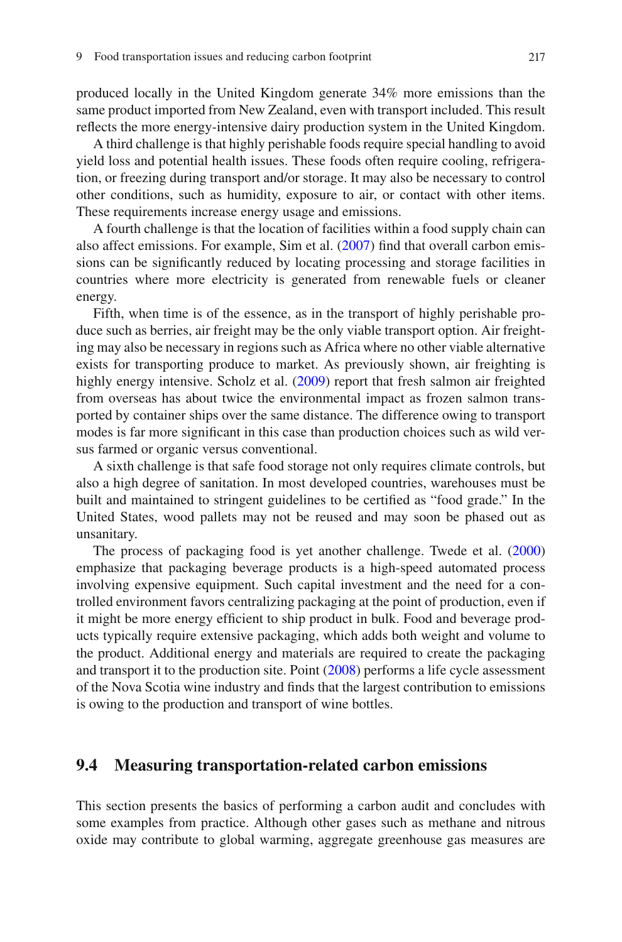<span id="page-6-0"></span>produced locally in the United Kingdom generate 34% more emissions than the same product imported from New Zealand, even with transport included. This result reflects the more energy-intensive dairy production system in the United Kingdom.

 A third challenge is that highly perishable foods require special handling to avoid yield loss and potential health issues. These foods often require cooling, refrigeration, or freezing during transport and/or storage. It may also be necessary to control other conditions, such as humidity, exposure to air, or contact with other items. These requirements increase energy usage and emissions.

 A fourth challenge is that the location of facilities within a food supply chain can also affect emissions. For example, Sim et al.  $(2007)$  find that overall carbon emissions can be significantly reduced by locating processing and storage facilities in countries where more electricity is generated from renewable fuels or cleaner energy.

 Fifth, when time is of the essence, as in the transport of highly perishable produce such as berries, air freight may be the only viable transport option. Air freighting may also be necessary in regions such as Africa where no other viable alternative exists for transporting produce to market. As previously shown, air freighting is highly energy intensive. Scholz et al. (2009) report that fresh salmon air freighted from overseas has about twice the environmental impact as frozen salmon transported by container ships over the same distance. The difference owing to transport modes is far more significant in this case than production choices such as wild versus farmed or organic versus conventional.

 A sixth challenge is that safe food storage not only requires climate controls, but also a high degree of sanitation. In most developed countries, warehouses must be built and maintained to stringent guidelines to be certified as "food grade." In the United States, wood pallets may not be reused and may soon be phased out as unsanitary.

The process of packaging food is yet another challenge. Twede et al. (2000) emphasize that packaging beverage products is a high-speed automated process involving expensive equipment. Such capital investment and the need for a controlled environment favors centralizing packaging at the point of production, even if it might be more energy efficient to ship product in bulk. Food and beverage products typically require extensive packaging, which adds both weight and volume to the product. Additional energy and materials are required to create the packaging and transport it to the production site. Point  $(2008)$  performs a life cycle assessment of the Nova Scotia wine industry and finds that the largest contribution to emissions is owing to the production and transport of wine bottles.

### **9.4 Measuring transportation-related carbon emissions**

 This section presents the basics of performing a carbon audit and concludes with some examples from practice. Although other gases such as methane and nitrous oxide may contribute to global warming, aggregate greenhouse gas measures are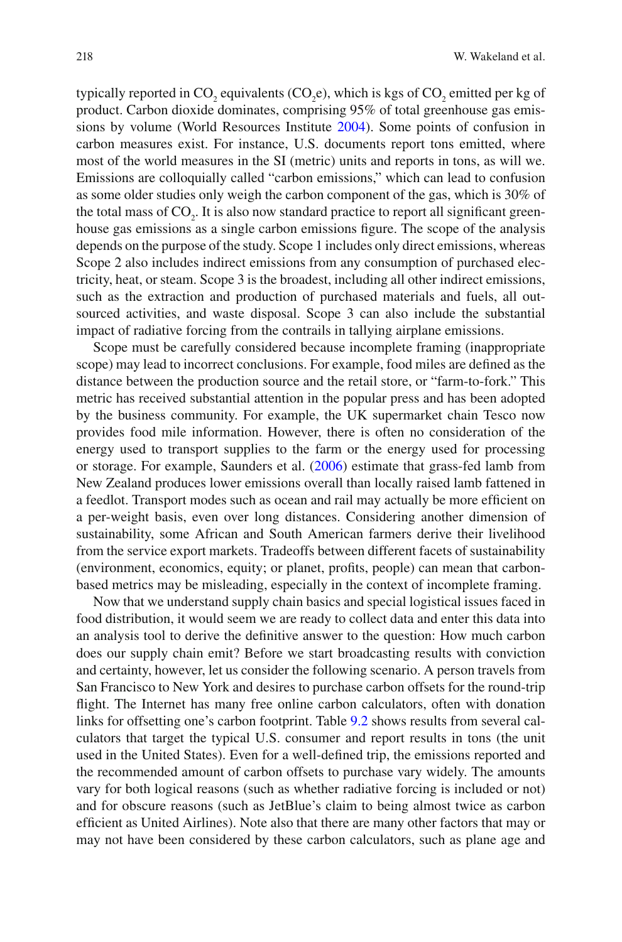typically reported in CO<sub>2</sub> equivalents (CO<sub>2</sub>e), which is kgs of CO<sub>2</sub> emitted per kg of product. Carbon dioxide dominates, comprising 95% of total greenhouse gas emis-sions by volume (World Resources Institute [2004](#page-25-0)). Some points of confusion in carbon measures exist. For instance, U.S. documents report tons emitted, where most of the world measures in the SI (metric) units and reports in tons, as will we. Emissions are colloquially called "carbon emissions," which can lead to confusion as some older studies only weigh the carbon component of the gas, which is 30% of the total mass of  $CO<sub>2</sub>$ . It is also now standard practice to report all significant greenhouse gas emissions as a single carbon emissions figure. The scope of the analysis depends on the purpose of the study. Scope 1 includes only direct emissions, whereas Scope 2 also includes indirect emissions from any consumption of purchased electricity, heat, or steam. Scope 3 is the broadest, including all other indirect emissions, such as the extraction and production of purchased materials and fuels, all outsourced activities, and waste disposal. Scope 3 can also include the substantial impact of radiative forcing from the contrails in tallying airplane emissions.

 Scope must be carefully considered because incomplete framing (inappropriate scope) may lead to incorrect conclusions. For example, food miles are defined as the distance between the production source and the retail store, or "farm-to-fork." This metric has received substantial attention in the popular press and has been adopted by the business community. For example, the UK supermarket chain Tesco now provides food mile information. However, there is often no consideration of the energy used to transport supplies to the farm or the energy used for processing or storage. For example, Saunders et al. [\( 2006](#page-24-0) ) estimate that grass-fed lamb from New Zealand produces lower emissions overall than locally raised lamb fattened in a feedlot. Transport modes such as ocean and rail may actually be more efficient on a per-weight basis, even over long distances. Considering another dimension of sustainability, some African and South American farmers derive their livelihood from the service export markets. Tradeoffs between different facets of sustainability (environment, economics, equity; or planet, profits, people) can mean that carbonbased metrics may be misleading, especially in the context of incomplete framing.

 Now that we understand supply chain basics and special logistical issues faced in food distribution, it would seem we are ready to collect data and enter this data into an analysis tool to derive the definitive answer to the question: How much carbon does our supply chain emit? Before we start broadcasting results with conviction and certainty, however, let us consider the following scenario. A person travels from San Francisco to New York and desires to purchase carbon offsets for the round-trip flight. The Internet has many free online carbon calculators, often with donation links for offsetting one's carbon footprint. Table [9.2](#page-9-0) shows results from several calculators that target the typical U.S. consumer and report results in tons (the unit used in the United States). Even for a well-defined trip, the emissions reported and the recommended amount of carbon offsets to purchase vary widely. The amounts vary for both logical reasons (such as whether radiative forcing is included or not) and for obscure reasons (such as JetBlue's claim to being almost twice as carbon efficient as United Airlines). Note also that there are many other factors that may or may not have been considered by these carbon calculators, such as plane age and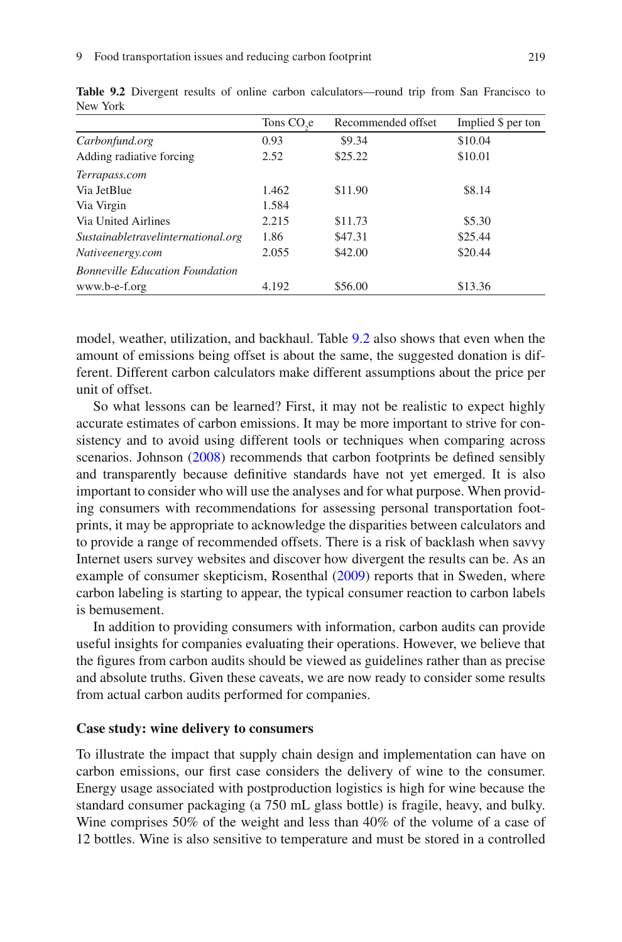|                                        | Tons CO <sub>se</sub> | Recommended offset | Implied \$ per ton |
|----------------------------------------|-----------------------|--------------------|--------------------|
| Carbonfund.org                         | 0.93                  | \$9.34             | \$10.04            |
| Adding radiative forcing               | 2.52                  | \$25.22            | \$10.01            |
| Terrapass.com                          |                       |                    |                    |
| Via JetBlue                            | 1.462                 | \$11.90            | \$8.14             |
| Via Virgin                             | 1.584                 |                    |                    |
| Via United Airlines                    | 2.215                 | \$11.73            | \$5.30             |
| Sustainabletravelinternational.org     | 1.86                  | \$47.31            | \$25.44            |
| Nativeenergy.com                       | 2.055                 | \$42.00            | \$20.44            |
| <b>Bonneville Education Foundation</b> |                       |                    |                    |
| www.b-e-f.org                          | 4.192                 | \$56.00            | \$13.36            |

 **Table 9.2** Divergent results of online carbon calculators—round trip from San Francisco to New York

model, weather, utilization, and backhaul. Table [9.2](#page-9-0) also shows that even when the amount of emissions being offset is about the same, the suggested donation is different. Different carbon calculators make different assumptions about the price per unit of offset.

 So what lessons can be learned? First, it may not be realistic to expect highly accurate estimates of carbon emissions. It may be more important to strive for consistency and to avoid using different tools or techniques when comparing across scenarios. Johnson (2008) recommends that carbon footprints be defined sensibly and transparently because definitive standards have not yet emerged. It is also important to consider who will use the analyses and for what purpose. When providing consumers with recommendations for assessing personal transportation footprints, it may be appropriate to acknowledge the disparities between calculators and to provide a range of recommended offsets. There is a risk of backlash when savvy Internet users survey websites and discover how divergent the results can be. As an example of consumer skepticism, Rosenthal (2009) reports that in Sweden, where carbon labeling is starting to appear, the typical consumer reaction to carbon labels is bemusement.

 In addition to providing consumers with information, carbon audits can provide useful insights for companies evaluating their operations. However, we believe that the figures from carbon audits should be viewed as guidelines rather than as precise and absolute truths. Given these caveats, we are now ready to consider some results from actual carbon audits performed for companies.

#### **Case study: wine delivery to consumers**

 To illustrate the impact that supply chain design and implementation can have on carbon emissions, our first case considers the delivery of wine to the consumer. Energy usage associated with postproduction logistics is high for wine because the standard consumer packaging (a 750 mL glass bottle) is fragile, heavy, and bulky. Wine comprises 50% of the weight and less than 40% of the volume of a case of 12 bottles. Wine is also sensitive to temperature and must be stored in a controlled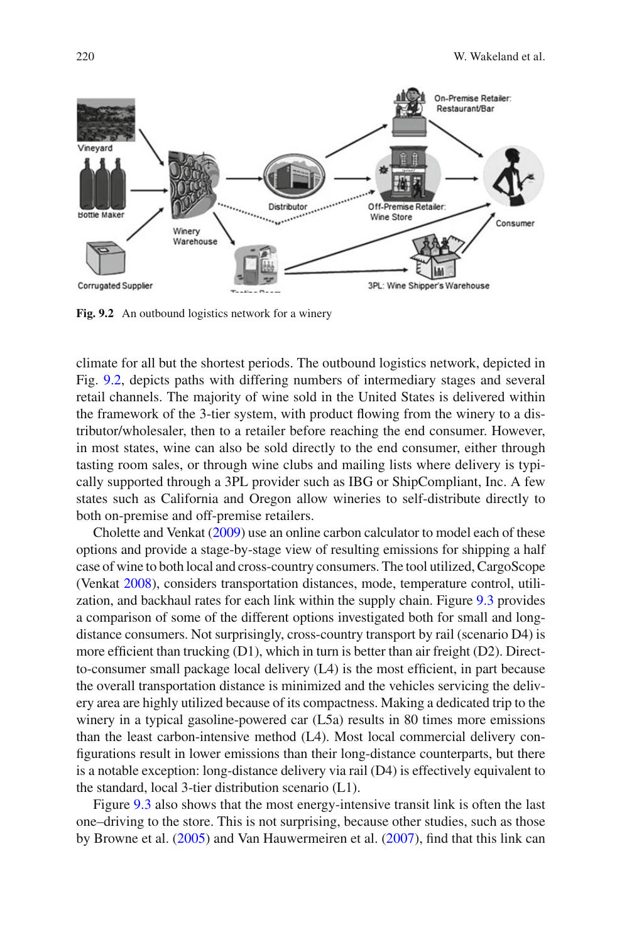<span id="page-9-0"></span>

 **Fig. 9.2** An outbound logistics network for a winery

climate for all but the shortest periods. The outbound logistics network, depicted in Fig. 9.2 , depicts paths with differing numbers of intermediary stages and several retail channels. The majority of wine sold in the United States is delivered within the framework of the 3-tier system, with product flowing from the winery to a distributor/wholesaler, then to a retailer before reaching the end consumer. However, in most states, wine can also be sold directly to the end consumer, either through tasting room sales, or through wine clubs and mailing lists where delivery is typically supported through a 3PL provider such as IBG or ShipCompliant, Inc. A few states such as California and Oregon allow wineries to self-distribute directly to both on-premise and off-premise retailers.

Cholette and Venkat (2009) use an online carbon calculator to model each of these options and provide a stage-by-stage view of resulting emissions for shipping a half case of wine to both local and cross-country consumers. The tool utilized, CargoScope (Venkat [2008](#page-25-0)), considers transportation distances, mode, temperature control, utilization, and backhaul rates for each link within the supply chain. Figure [9.3](#page-10-0) provides a comparison of some of the different options investigated both for small and longdistance consumers. Not surprisingly, cross-country transport by rail (scenario D4) is more efficient than trucking  $(D1)$ , which in turn is better than air freight  $(D2)$ . Directto-consumer small package local delivery  $(L4)$  is the most efficient, in part because the overall transportation distance is minimized and the vehicles servicing the delivery area are highly utilized because of its compactness. Making a dedicated trip to the winery in a typical gasoline-powered car (L5a) results in 80 times more emissions than the least carbon-intensive method (L4). Most local commercial delivery configurations result in lower emissions than their long-distance counterparts, but there is a notable exception: long-distance delivery via rail (D4) is effectively equivalent to the standard, local 3-tier distribution scenario (L1).

Figure [9.3](#page-10-0) also shows that the most energy-intensive transit link is often the last one–driving to the store. This is not surprising, because other studies, such as those by Browne et al.  $(2005)$  and Van Hauwermeiren et al.  $(2007)$ , find that this link can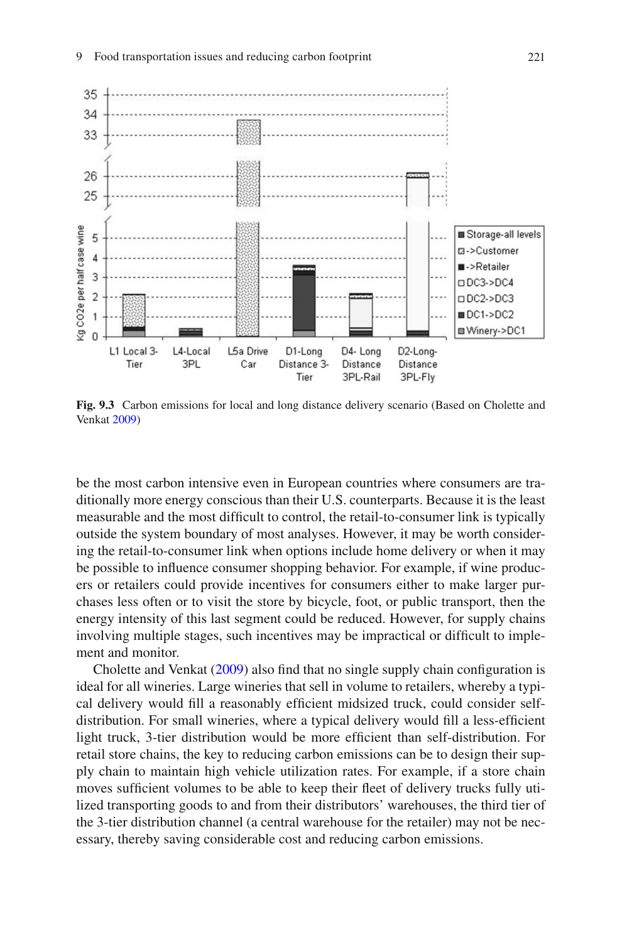<span id="page-10-0"></span>

 **Fig. 9.3** Carbon emissions for local and long distance delivery scenario (Based on Cholette and **Venkat 2009**)

be the most carbon intensive even in European countries where consumers are traditionally more energy conscious than their U.S. counterparts. Because it is the least measurable and the most difficult to control, the retail-to-consumer link is typically outside the system boundary of most analyses. However, it may be worth considering the retail-to-consumer link when options include home delivery or when it may be possible to influence consumer shopping behavior. For example, if wine producers or retailers could provide incentives for consumers either to make larger purchases less often or to visit the store by bicycle, foot, or public transport, then the energy intensity of this last segment could be reduced. However, for supply chains involving multiple stages, such incentives may be impractical or difficult to implement and monitor.

Cholette and Venkat  $(2009)$  also find that no single supply chain configuration is ideal for all wineries. Large wineries that sell in volume to retailers, whereby a typical delivery would fill a reasonably efficient midsized truck, could consider selfdistribution. For small wineries, where a typical delivery would fill a less-efficient light truck, 3-tier distribution would be more efficient than self-distribution. For retail store chains, the key to reducing carbon emissions can be to design their supply chain to maintain high vehicle utilization rates. For example, if a store chain moves sufficient volumes to be able to keep their fleet of delivery trucks fully utilized transporting goods to and from their distributors' warehouses, the third tier of the 3-tier distribution channel (a central warehouse for the retailer) may not be necessary, thereby saving considerable cost and reducing carbon emissions.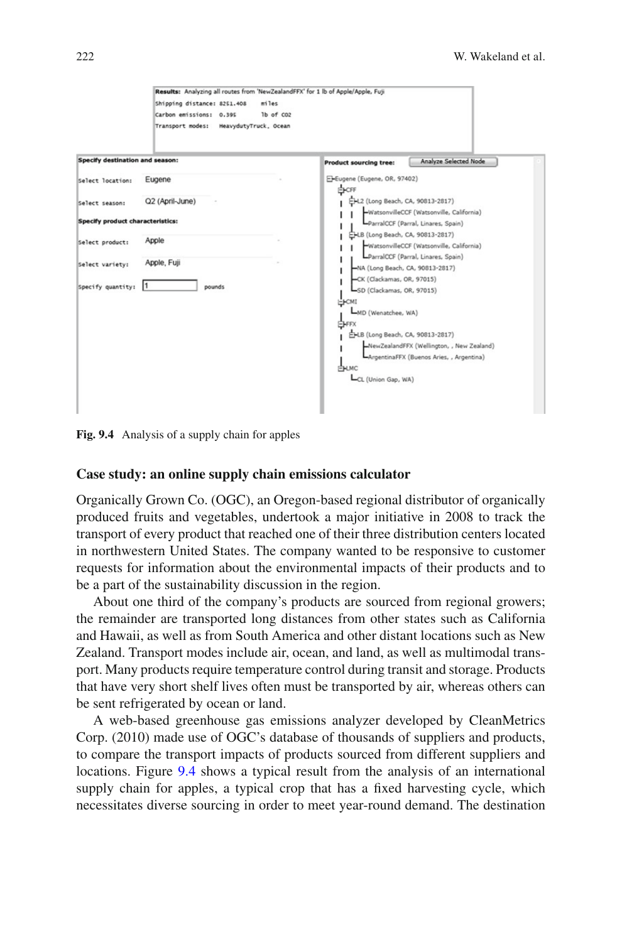|                                                     | Results: Analyzing all routes from 'NewZealandFFX' for 1 lb of Apple/Apple, Fuji<br>Shipping distance: 8251.408<br>miles<br>Carbon emissions: 0.395<br>1b of CO <sub>2</sub><br>Transport modes: HeavydutyTruck, Ocean |                                                                                                                                                              |                                                                                        |  |
|-----------------------------------------------------|------------------------------------------------------------------------------------------------------------------------------------------------------------------------------------------------------------------------|--------------------------------------------------------------------------------------------------------------------------------------------------------------|----------------------------------------------------------------------------------------|--|
| Specify destination and season:                     |                                                                                                                                                                                                                        | <b>Product sourcing tree:</b>                                                                                                                                | Analyze Selected Node                                                                  |  |
| Select location:<br>Select season:                  | Eugene<br>Q2 (April-June)                                                                                                                                                                                              | E-Eugene (Eugene, OR, 97402)<br>EICFF<br>EH.2 (Long Beach, CA, 90813-2817)                                                                                   | -WatsonvilleCCF (Watsonville, California)                                              |  |
| Specify product characteristics:<br>Select product: | Apple                                                                                                                                                                                                                  | -ParralCCF (Parral, Linares, Spain)<br>EJ-LB (Long Beach, CA, 90813-2817)<br>-WatsonvilleCCF (Watsonville, California)<br>ParralCCF (Parral, Linares, Spain) |                                                                                        |  |
| Select variety:<br>Specify quantity:                | Apple, Fuji<br>I1<br>pounds                                                                                                                                                                                            | -NA (Long Beach, CA, 90813-2817)<br>CK (Clackamas, OR, 97015)<br>SD (Clackamas, OR, 97015)                                                                   |                                                                                        |  |
|                                                     |                                                                                                                                                                                                                        | EICMI<br>LMD (Wenatchee, WA)<br>EIFFX<br>EJ LB (Long Beach, CA, 90813-2817)<br>FHLMC<br>CL (Union Gap, WA)                                                   | -NewZealandFFX (Wellington, , New Zealand)<br>ArgentinaFFX (Buenos Aries, , Argentina) |  |

 **Fig. 9.4** Analysis of a supply chain for apples

#### **Case study: an online supply chain emissions calculator**

 Organically Grown Co. (OGC), an Oregon-based regional distributor of organically produced fruits and vegetables, undertook a major initiative in 2008 to track the transport of every product that reached one of their three distribution centers located in northwestern United States. The company wanted to be responsive to customer requests for information about the environmental impacts of their products and to be a part of the sustainability discussion in the region.

 About one third of the company's products are sourced from regional growers; the remainder are transported long distances from other states such as California and Hawaii, as well as from South America and other distant locations such as New Zealand. Transport modes include air, ocean, and land, as well as multimodal transport. Many products require temperature control during transit and storage. Products that have very short shelf lives often must be transported by air, whereas others can be sent refrigerated by ocean or land.

 A web-based greenhouse gas emissions analyzer developed by CleanMetrics Corp. (2010) made use of OGC's database of thousands of suppliers and products, to compare the transport impacts of products sourced from different suppliers and locations. Figure 9.4 shows a typical result from the analysis of an international supply chain for apples, a typical crop that has a fixed harvesting cycle, which necessitates diverse sourcing in order to meet year-round demand. The destination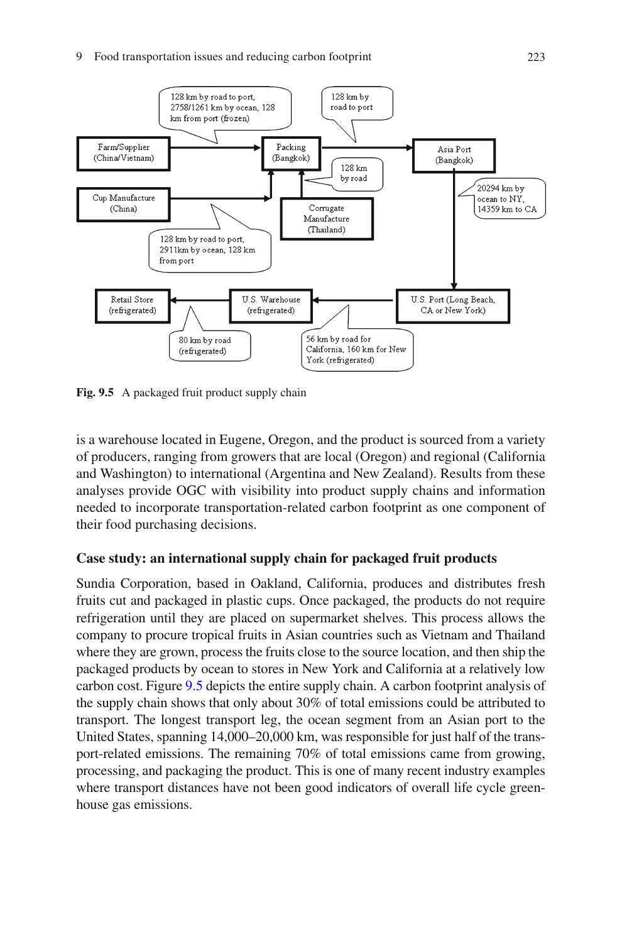

**Fig. 9.5** A packaged fruit product supply chain

is a warehouse located in Eugene, Oregon, and the product is sourced from a variety of producers, ranging from growers that are local (Oregon) and regional (California and Washington) to international (Argentina and New Zealand). Results from these analyses provide OGC with visibility into product supply chains and information needed to incorporate transportation-related carbon footprint as one component of their food purchasing decisions.

### **Case study: an international supply chain for packaged fruit products**

 Sundia Corporation, based in Oakland, California, produces and distributes fresh fruits cut and packaged in plastic cups. Once packaged, the products do not require refrigeration until they are placed on supermarket shelves. This process allows the company to procure tropical fruits in Asian countries such as Vietnam and Thailand where they are grown, process the fruits close to the source location, and then ship the packaged products by ocean to stores in New York and California at a relatively low carbon cost. Figure 9.5 depicts the entire supply chain. A carbon footprint analysis of the supply chain shows that only about 30% of total emissions could be attributed to transport. The longest transport leg, the ocean segment from an Asian port to the United States, spanning 14,000–20,000 km, was responsible for just half of the transport-related emissions. The remaining 70% of total emissions came from growing, processing, and packaging the product. This is one of many recent industry examples where transport distances have not been good indicators of overall life cycle greenhouse gas emissions.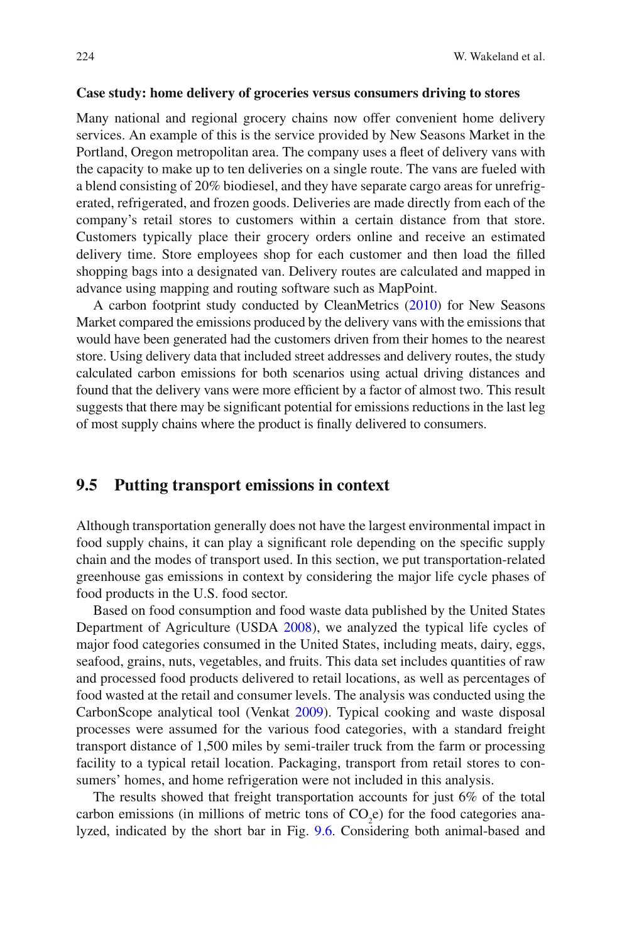#### <span id="page-13-0"></span> **Case study: home delivery of groceries versus consumers driving to stores**

 Many national and regional grocery chains now offer convenient home delivery services. An example of this is the service provided by New Seasons Market in the Portland, Oregon metropolitan area. The company uses a fleet of delivery vans with the capacity to make up to ten deliveries on a single route. The vans are fueled with a blend consisting of 20% biodiesel, and they have separate cargo areas for unrefrigerated, refrigerated, and frozen goods. Deliveries are made directly from each of the company's retail stores to customers within a certain distance from that store. Customers typically place their grocery orders online and receive an estimated delivery time. Store employees shop for each customer and then load the filled shopping bags into a designated van. Delivery routes are calculated and mapped in advance using mapping and routing software such as MapPoint.

A carbon footprint study conducted by CleanMetrics (2010) for New Seasons Market compared the emissions produced by the delivery vans with the emissions that would have been generated had the customers driven from their homes to the nearest store. Using delivery data that included street addresses and delivery routes, the study calculated carbon emissions for both scenarios using actual driving distances and found that the delivery vans were more efficient by a factor of almost two. This result suggests that there may be significant potential for emissions reductions in the last leg of most supply chains where the product is finally delivered to consumers.

# **9.5 Putting transport emissions in context**

 Although transportation generally does not have the largest environmental impact in food supply chains, it can play a significant role depending on the specific supply chain and the modes of transport used. In this section, we put transportation-related greenhouse gas emissions in context by considering the major life cycle phases of food products in the U.S. food sector.

 Based on food consumption and food waste data published by the United States Department of Agriculture (USDA 2008), we analyzed the typical life cycles of major food categories consumed in the United States, including meats, dairy, eggs, seafood, grains, nuts, vegetables, and fruits. This data set includes quantities of raw and processed food products delivered to retail locations, as well as percentages of food wasted at the retail and consumer levels. The analysis was conducted using the CarbonScope analytical tool (Venkat 2009). Typical cooking and waste disposal processes were assumed for the various food categories, with a standard freight transport distance of 1,500 miles by semi-trailer truck from the farm or processing facility to a typical retail location. Packaging, transport from retail stores to consumers' homes, and home refrigeration were not included in this analysis.

 The results showed that freight transportation accounts for just 6% of the total carbon emissions (in millions of metric tons of  $CO<sub>2</sub>e$ ) for the food categories analyzed, indicated by the short bar in Fig. [9.6 .](#page-14-0) Considering both animal-based and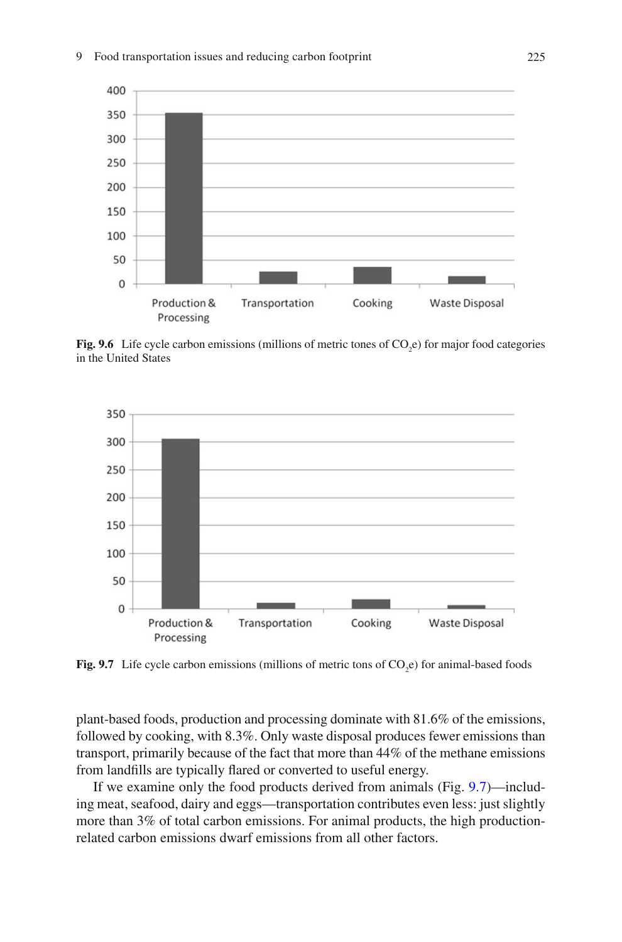<span id="page-14-0"></span>

**Fig. 9.6** Life cycle carbon emissions (millions of metric tones of  $CO<sub>2</sub>e$ ) for major food categories in the United States



**Fig. 9.7** Life cycle carbon emissions (millions of metric tons of  $CO<sub>2</sub>e$ ) for animal-based foods

plant-based foods, production and processing dominate with 81.6% of the emissions, followed by cooking, with 8.3%. Only waste disposal produces fewer emissions than transport, primarily because of the fact that more than 44% of the methane emissions from landfills are typically flared or converted to useful energy.

If we examine only the food products derived from animals (Fig.  $9.7$ )—including meat, seafood, dairy and eggs—transportation contributes even less: just slightly more than 3% of total carbon emissions. For animal products, the high productionrelated carbon emissions dwarf emissions from all other factors.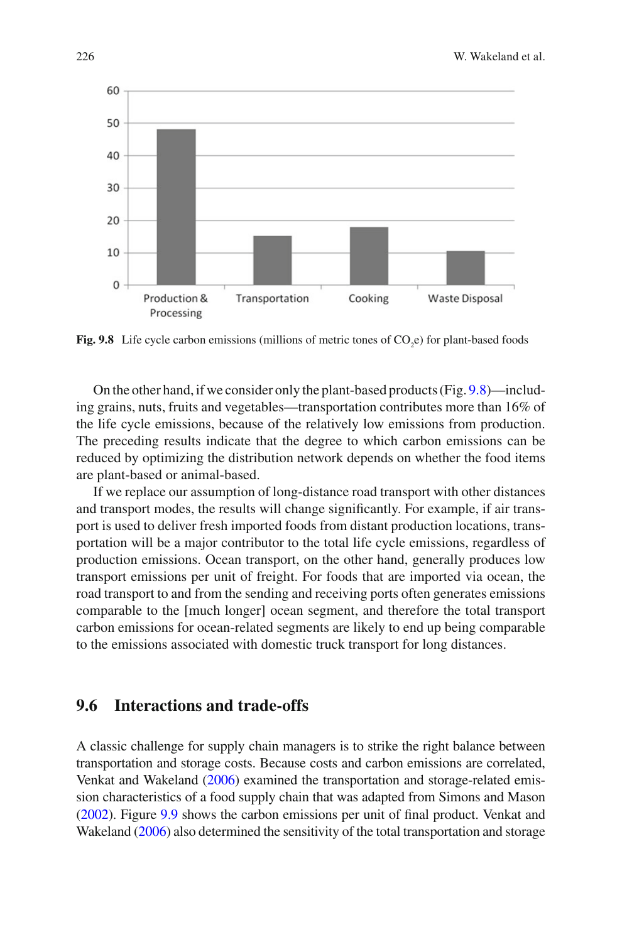

**Fig. 9.8** Life cycle carbon emissions (millions of metric tones of  $CO<sub>2</sub>e$ ) for plant-based foods

 On the other hand, if we consider only the plant-based products (Fig. 9.8 )—including grains, nuts, fruits and vegetables—transportation contributes more than 16% of the life cycle emissions, because of the relatively low emissions from production. The preceding results indicate that the degree to which carbon emissions can be reduced by optimizing the distribution network depends on whether the food items are plant-based or animal-based.

 If we replace our assumption of long-distance road transport with other distances and transport modes, the results will change significantly. For example, if air transport is used to deliver fresh imported foods from distant production locations, transportation will be a major contributor to the total life cycle emissions, regardless of production emissions. Ocean transport, on the other hand, generally produces low transport emissions per unit of freight. For foods that are imported via ocean, the road transport to and from the sending and receiving ports often generates emissions comparable to the [much longer] ocean segment, and therefore the total transport carbon emissions for ocean-related segments are likely to end up being comparable to the emissions associated with domestic truck transport for long distances.

# **9.6 Interactions and trade-offs**

 A classic challenge for supply chain managers is to strike the right balance between transportation and storage costs. Because costs and carbon emissions are correlated, Venkat and Wakeland (2006) examined the transportation and storage-related emission characteristics of a food supply chain that was adapted from Simons and Mason  $(2002)$ . Figure [9.9](#page-16-0) shows the carbon emissions per unit of final product. Venkat and Wakeland (2006) also determined the sensitivity of the total transportation and storage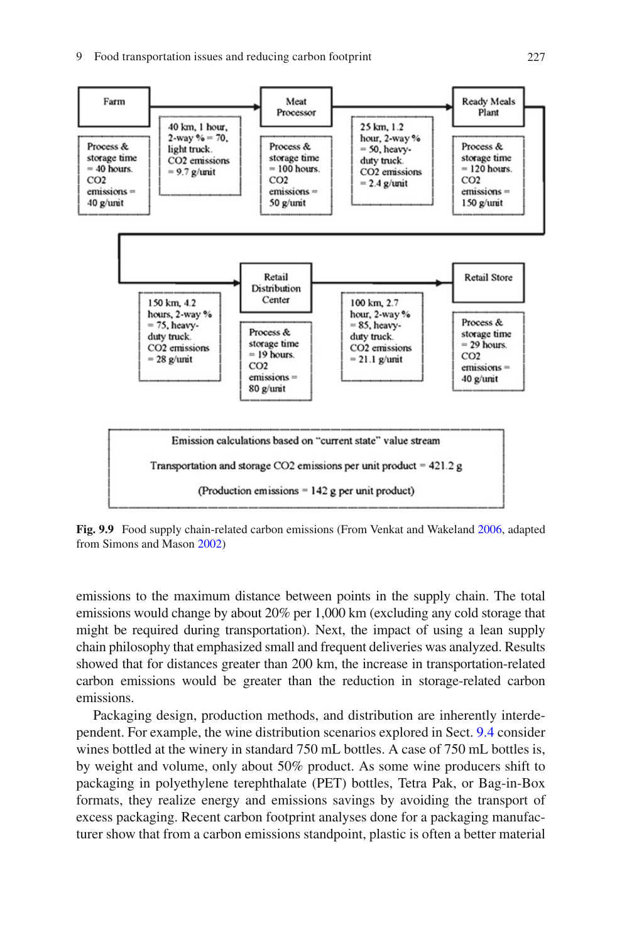<span id="page-16-0"></span>

**Fig. 9.9** Food supply chain-related carbon emissions (From Venkat and Wakeland 2006, adapted from Simons and Mason [2002 \)](#page-25-0)

emissions to the maximum distance between points in the supply chain. The total emissions would change by about 20% per 1,000 km (excluding any cold storage that might be required during transportation). Next, the impact of using a lean supply chain philosophy that emphasized small and frequent deliveries was analyzed. Results showed that for distances greater than 200 km, the increase in transportation-related carbon emissions would be greater than the reduction in storage-related carbon emissions.

 Packaging design, production methods, and distribution are inherently interdependent. For example, the wine distribution scenarios explored in Sect. [9.4](#page-6-0) consider wines bottled at the winery in standard 750 mL bottles. A case of 750 mL bottles is, by weight and volume, only about 50% product. As some wine producers shift to packaging in polyethylene terephthalate (PET) bottles, Tetra Pak, or Bag-in-Box formats, they realize energy and emissions savings by avoiding the transport of excess packaging. Recent carbon footprint analyses done for a packaging manufacturer show that from a carbon emissions standpoint, plastic is often a better material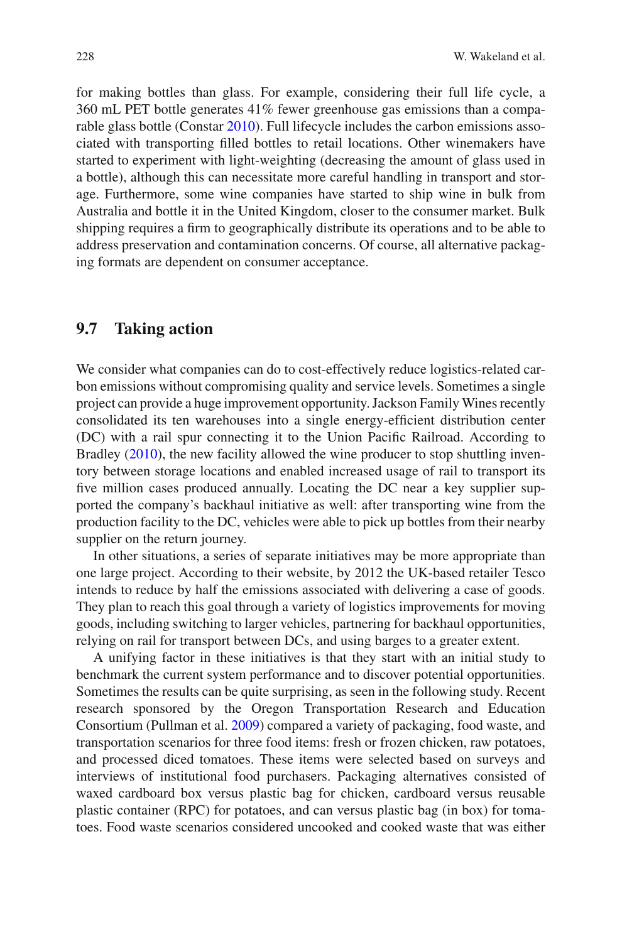for making bottles than glass. For example, considering their full life cycle, a 360 mL PET bottle generates 41% fewer greenhouse gas emissions than a compa-rable glass bottle (Constar [2010](#page-24-0)). Full lifecycle includes the carbon emissions associated with transporting filled bottles to retail locations. Other winemakers have started to experiment with light-weighting (decreasing the amount of glass used in a bottle), although this can necessitate more careful handling in transport and storage. Furthermore, some wine companies have started to ship wine in bulk from Australia and bottle it in the United Kingdom, closer to the consumer market. Bulk shipping requires a firm to geographically distribute its operations and to be able to address preservation and contamination concerns. Of course, all alternative packaging formats are dependent on consumer acceptance.

### **9.7 Taking action**

 We consider what companies can do to cost-effectively reduce logistics-related carbon emissions without compromising quality and service levels. Sometimes a single project can provide a huge improvement opportunity. Jackson Family Wines recently consolidated its ten warehouses into a single energy-efficient distribution center (DC) with a rail spur connecting it to the Union Pacific Railroad. According to Bradley  $(2010)$ , the new facility allowed the wine producer to stop shuttling inventory between storage locations and enabled increased usage of rail to transport its five million cases produced annually. Locating the DC near a key supplier supported the company's backhaul initiative as well: after transporting wine from the production facility to the DC, vehicles were able to pick up bottles from their nearby supplier on the return journey.

 In other situations, a series of separate initiatives may be more appropriate than one large project. According to their website, by 2012 the UK-based retailer Tesco intends to reduce by half the emissions associated with delivering a case of goods. They plan to reach this goal through a variety of logistics improvements for moving goods, including switching to larger vehicles, partnering for backhaul opportunities, relying on rail for transport between DCs, and using barges to a greater extent.

 A unifying factor in these initiatives is that they start with an initial study to benchmark the current system performance and to discover potential opportunities. Sometimes the results can be quite surprising, as seen in the following study. Recent research sponsored by the Oregon Transportation Research and Education Consortium (Pullman et al. [2009](#page-24-0)) compared a variety of packaging, food waste, and transportation scenarios for three food items: fresh or frozen chicken, raw potatoes, and processed diced tomatoes. These items were selected based on surveys and interviews of institutional food purchasers. Packaging alternatives consisted of waxed cardboard box versus plastic bag for chicken, cardboard versus reusable plastic container (RPC) for potatoes, and can versus plastic bag (in box) for tomatoes. Food waste scenarios considered uncooked and cooked waste that was either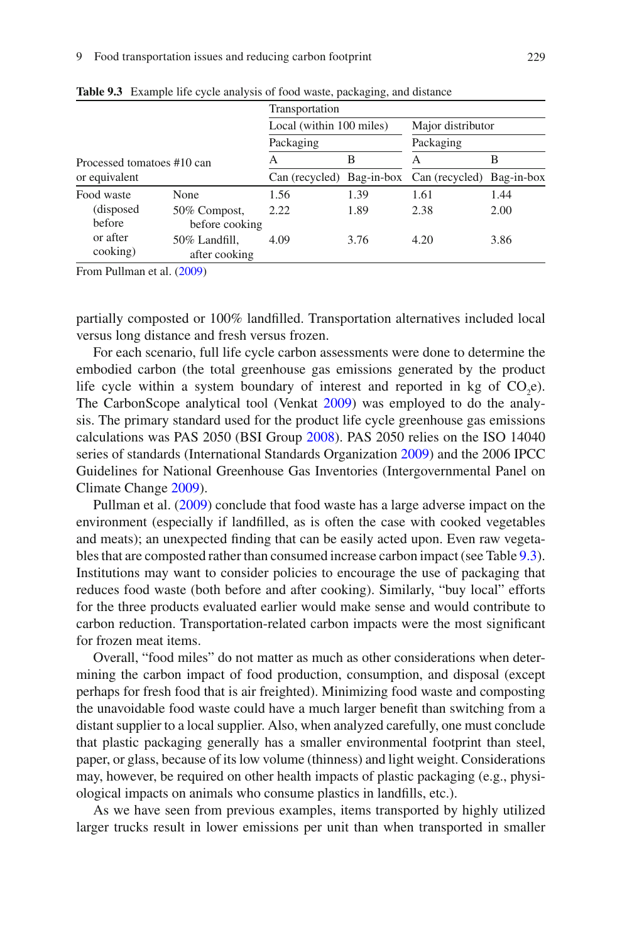|                                             |                                | Transportation           |      |                                                     |      |
|---------------------------------------------|--------------------------------|--------------------------|------|-----------------------------------------------------|------|
|                                             |                                | Local (within 100 miles) |      | Major distributor                                   |      |
|                                             |                                | Packaging                |      | Packaging                                           |      |
| Processed tomatoes #10 can<br>or equivalent |                                | А                        | В    | A                                                   | B    |
|                                             |                                |                          |      | Can (recycled) Bag-in-box Can (recycled) Bag-in-box |      |
| Food waste                                  | <b>None</b>                    | 1.56                     | 1.39 | 1.61                                                | 1.44 |
| (disposed)<br>hefore                        | 50% Compost,<br>before cooking | 2.22                     | 1.89 | 2.38                                                | 2.00 |
| or after<br>cooking)                        | 50% Landfill.<br>after cooking | 4.09                     | 3.76 | 4.20                                                | 3.86 |

 **Table 9.3** Example life cycle analysis of food waste, packaging, and distance

From Pullman et al. (2009)

partially composted or 100% landfilled. Transportation alternatives included local versus long distance and fresh versus frozen.

 For each scenario, full life cycle carbon assessments were done to determine the embodied carbon ( the total greenhouse gas emissions generated by the product life cycle within a system boundary of interest and reported in kg of  $CO<sub>2</sub>e$ . The CarbonScope analytical tool (Venkat 2009) was employed to do the analysis. The primary standard used for the product life cycle greenhouse gas emissions calculations was PAS 2050 (BSI Group 2008). PAS 2050 relies on the ISO 14040 series of standards (International Standards Organization [2009](#page-24-0) ) and the 2006 IPCC Guidelines for National Greenhouse Gas Inventories (Intergovernmental Panel on Climate Change [2009](#page-24-0)).

Pullman et al. (2009) conclude that food waste has a large adverse impact on the environment (especially if landfilled, as is often the case with cooked vegetables and meats); an unexpected finding that can be easily acted upon. Even raw vegetables that are composted rather than consumed increase carbon impact (see Table [9.3 \)](#page-10-0). Institutions may want to consider policies to encourage the use of packaging that reduces food waste (both before and after cooking). Similarly, "buy local" efforts for the three products evaluated earlier would make sense and would contribute to carbon reduction. Transportation-related carbon impacts were the most significant for frozen meat items.

 Overall, "food miles" do not matter as much as other considerations when determining the carbon impact of food production, consumption, and disposal (except perhaps for fresh food that is air freighted). Minimizing food waste and composting the unavoidable food waste could have a much larger benefit than switching from a distant supplier to a local supplier. Also, when analyzed carefully, one must conclude that plastic packaging generally has a smaller environmental footprint than steel, paper, or glass, because of its low volume (thinness) and light weight. Considerations may, however, be required on other health impacts of plastic packaging (e.g., physiological impacts on animals who consume plastics in landfills, etc.).

 As we have seen from previous examples, items transported by highly utilized larger trucks result in lower emissions per unit than when transported in smaller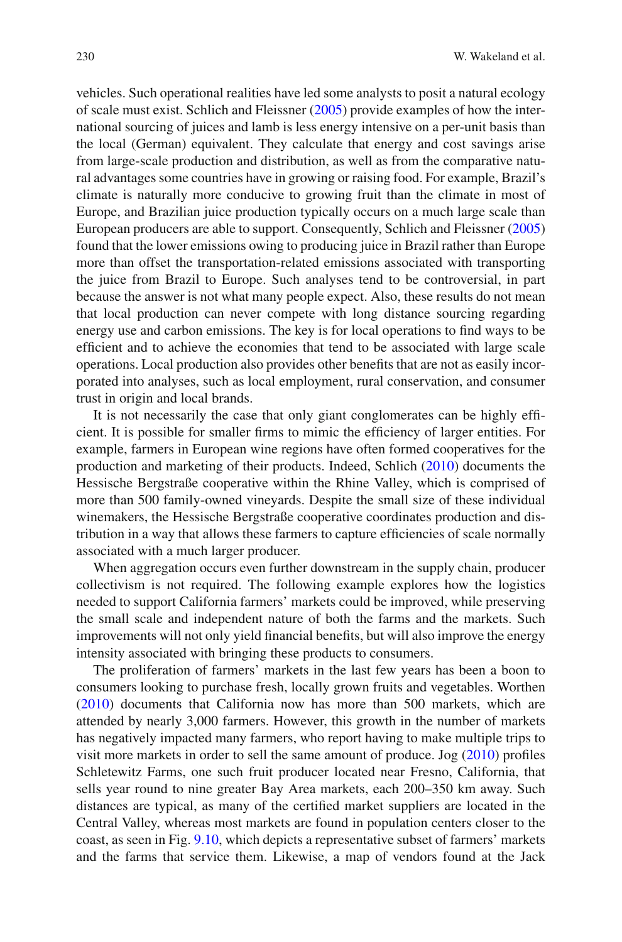vehicles. Such operational realities have led some analysts to posit a natural ecology of scale must exist. Schlich and Fleissner  $(2005)$  provide examples of how the international sourcing of juices and lamb is less energy intensive on a per-unit basis than the local (German) equivalent. They calculate that energy and cost savings arise from large-scale production and distribution, as well as from the comparative natural advantages some countries have in growing or raising food. For example, Brazil's climate is naturally more conducive to growing fruit than the climate in most of Europe, and Brazilian juice production typically occurs on a much large scale than European producers are able to support. Consequently, Schlich and Fleissner [\( 2005](#page-25-0) ) found that the lower emissions owing to producing juice in Brazil rather than Europe more than offset the transportation-related emissions associated with transporting the juice from Brazil to Europe. Such analyses tend to be controversial, in part because the answer is not what many people expect. Also, these results do not mean that local production can never compete with long distance sourcing regarding energy use and carbon emissions. The key is for local operations to find ways to be efficient and to achieve the economies that tend to be associated with large scale operations. Local production also provides other benefits that are not as easily incorporated into analyses, such as local employment, rural conservation, and consumer trust in origin and local brands.

It is not necessarily the case that only giant conglomerates can be highly efficient. It is possible for smaller firms to mimic the efficiency of larger entities. For example, farmers in European wine regions have often formed cooperatives for the production and marketing of their products. Indeed, Schlich [\( 2010](#page-25-0) ) documents the Hessische Bergstraße cooperative within the Rhine Valley, which is comprised of more than 500 family-owned vineyards. Despite the small size of these individual winemakers, the Hessische Bergstraße cooperative coordinates production and distribution in a way that allows these farmers to capture efficiencies of scale normally associated with a much larger producer.

 When aggregation occurs even further downstream in the supply chain, producer collectivism is not required. The following example explores how the logistics needed to support California farmers' markets could be improved, while preserving the small scale and independent nature of both the farms and the markets. Such improvements will not only yield financial benefits, but will also improve the energy intensity associated with bringing these products to consumers.

 The proliferation of farmers' markets in the last few years has been a boon to consumers looking to purchase fresh, locally grown fruits and vegetables. Worthen [\( 2010](#page-25-0) ) documents that California now has more than 500 markets, which are attended by nearly 3,000 farmers. However, this growth in the number of markets has negatively impacted many farmers, who report having to make multiple trips to visit more markets in order to sell the same amount of produce. Jog  $(2010)$  profiles Schletewitz Farms, one such fruit producer located near Fresno, California, that sells year round to nine greater Bay Area markets, each 200–350 km away. Such distances are typical, as many of the certified market suppliers are located in the Central Valley, whereas most markets are found in population centers closer to the coast, as seen in Fig. [9.10 ,](#page-20-0) which depicts a representative subset of farmers' markets and the farms that service them. Likewise, a map of vendors found at the Jack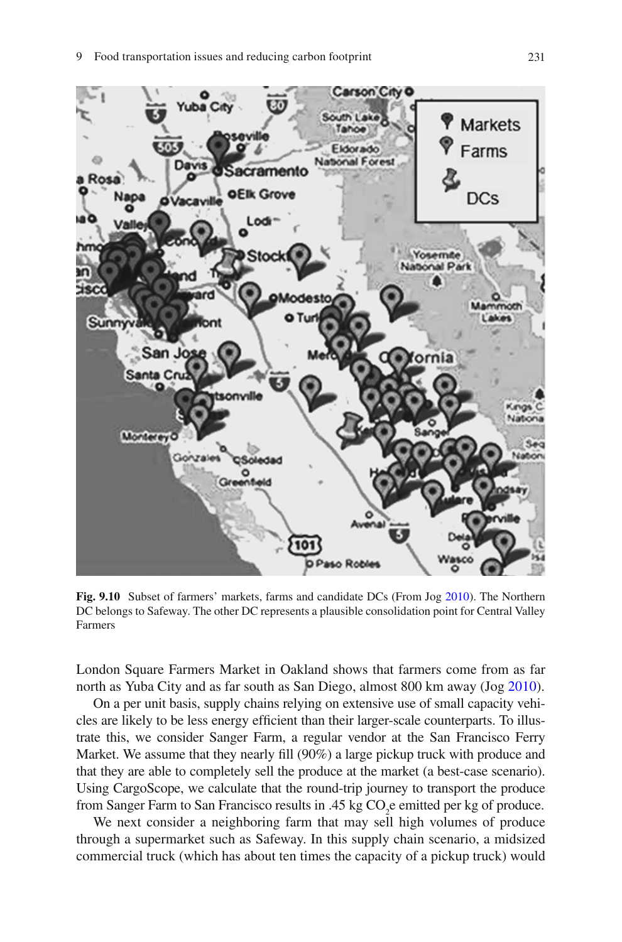<span id="page-20-0"></span>

**Fig. 9.10** Subset of farmers' markets, farms and candidate DCs (From Jog 2010). The Northern DC belongs to Safeway. The other DC represents a plausible consolidation point for Central Valley Farmers

London Square Farmers Market in Oakland shows that farmers come from as far north as Yuba City and as far south as San Diego, almost 800 km away (Jog [2010](#page-24-0)).

 On a per unit basis, supply chains relying on extensive use of small capacity vehicles are likely to be less energy efficient than their larger-scale counterparts. To illustrate this, we consider Sanger Farm, a regular vendor at the San Francisco Ferry Market. We assume that they nearly fill  $(90\%)$  a large pickup truck with produce and that they are able to completely sell the produce at the market (a best-case scenario). Using CargoScope, we calculate that the round-trip journey to transport the produce from Sanger Farm to San Francisco results in .45 kg  $CO<sub>2</sub>e$  emitted per kg of produce.

 We next consider a neighboring farm that may sell high volumes of produce through a supermarket such as Safeway. In this supply chain scenario, a midsized commercial truck (which has about ten times the capacity of a pickup truck) would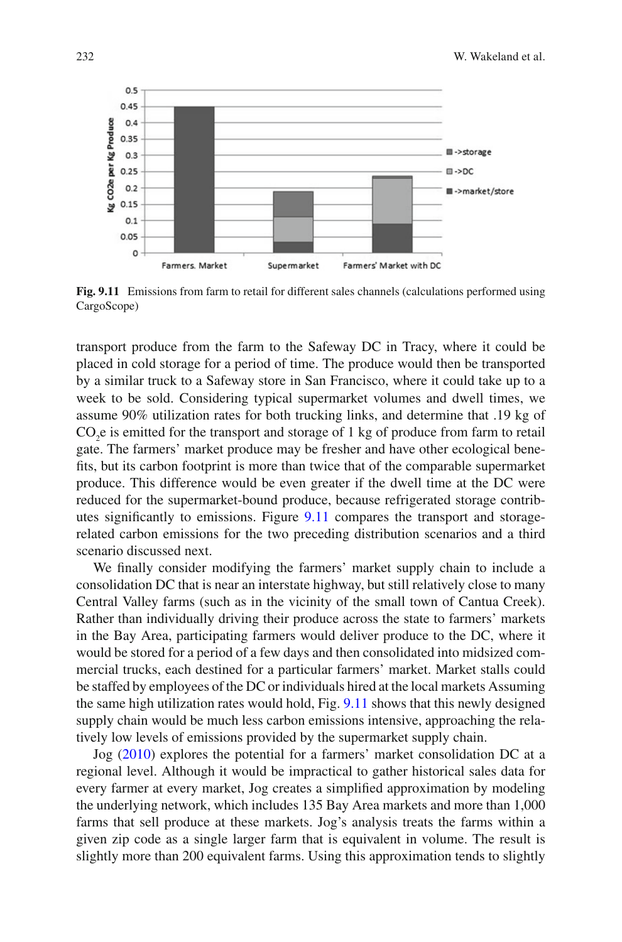

 **Fig. 9.11** Emissions from farm to retail for different sales channels (calculations performed using CargoScope)

transport produce from the farm to the Safeway DC in Tracy, where it could be placed in cold storage for a period of time. The produce would then be transported by a similar truck to a Safeway store in San Francisco, where it could take up to a week to be sold. Considering typical supermarket volumes and dwell times, we assume 90% utilization rates for both trucking links, and determine that .19 kg of  $CO<sub>2</sub>e$  is emitted for the transport and storage of 1 kg of produce from farm to retail gate. The farmers' market produce may be fresher and have other ecological benefits, but its carbon footprint is more than twice that of the comparable supermarket produce. This difference would be even greater if the dwell time at the DC were reduced for the supermarket-bound produce, because refrigerated storage contributes significantly to emissions. Figure  $9.11$  compares the transport and storagerelated carbon emissions for the two preceding distribution scenarios and a third scenario discussed next.

We finally consider modifying the farmers' market supply chain to include a consolidation DC that is near an interstate highway, but still relatively close to many Central Valley farms (such as in the vicinity of the small town of Cantua Creek). Rather than individually driving their produce across the state to farmers' markets in the Bay Area, participating farmers would deliver produce to the DC, where it would be stored for a period of a few days and then consolidated into midsized commercial trucks, each destined for a particular farmers' market. Market stalls could be staffed by employees of the DC or individuals hired at the local markets Assuming the same high utilization rates would hold, Fig. 9.11 shows that this newly designed supply chain would be much less carbon emissions intensive, approaching the relatively low levels of emissions provided by the supermarket supply chain.

Jog  $(2010)$  explores the potential for a farmers' market consolidation DC at a regional level. Although it would be impractical to gather historical sales data for every farmer at every market, Jog creates a simplified approximation by modeling the underlying network, which includes 135 Bay Area markets and more than 1,000 farms that sell produce at these markets. Jog's analysis treats the farms within a given zip code as a single larger farm that is equivalent in volume. The result is slightly more than 200 equivalent farms. Using this approximation tends to slightly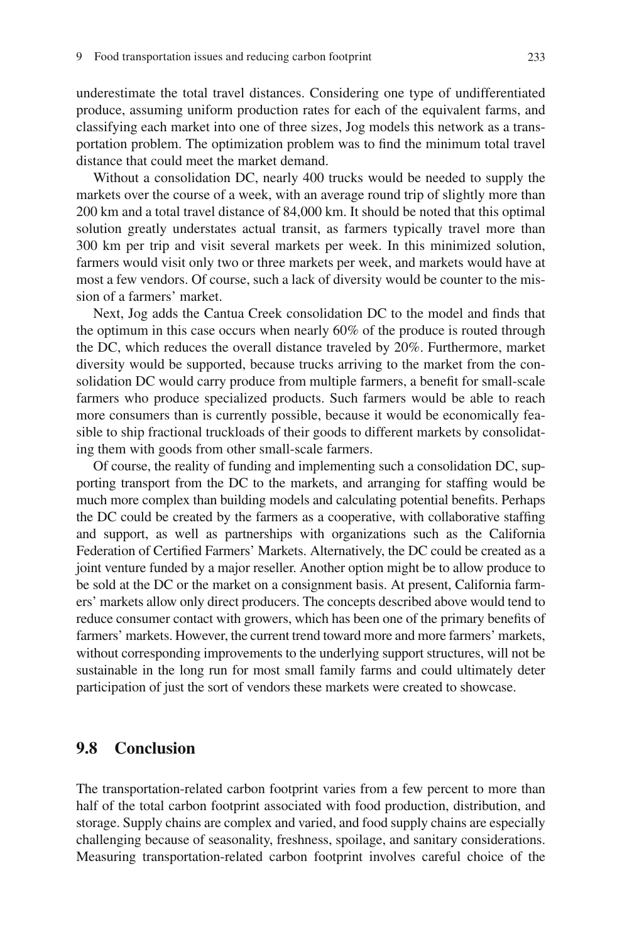underestimate the total travel distances. Considering one type of undifferentiated produce, assuming uniform production rates for each of the equivalent farms, and classifying each market into one of three sizes, Jog models this network as a transportation problem. The optimization problem was to find the minimum total travel distance that could meet the market demand.

 Without a consolidation DC, nearly 400 trucks would be needed to supply the markets over the course of a week, with an average round trip of slightly more than 200 km and a total travel distance of 84,000 km. It should be noted that this optimal solution greatly understates actual transit, as farmers typically travel more than 300 km per trip and visit several markets per week. In this minimized solution, farmers would visit only two or three markets per week, and markets would have at most a few vendors. Of course, such a lack of diversity would be counter to the mission of a farmers' market.

Next, Jog adds the Cantua Creek consolidation DC to the model and finds that the optimum in this case occurs when nearly 60% of the produce is routed through the DC, which reduces the overall distance traveled by 20%. Furthermore, market diversity would be supported, because trucks arriving to the market from the consolidation DC would carry produce from multiple farmers, a benefit for small-scale farmers who produce specialized products. Such farmers would be able to reach more consumers than is currently possible, because it would be economically feasible to ship fractional truckloads of their goods to different markets by consolidating them with goods from other small-scale farmers.

 Of course, the reality of funding and implementing such a consolidation DC, supporting transport from the DC to the markets, and arranging for staffing would be much more complex than building models and calculating potential benefits. Perhaps the DC could be created by the farmers as a cooperative, with collaborative staffing and support, as well as partnerships with organizations such as the California Federation of Certified Farmers' Markets. Alternatively, the DC could be created as a joint venture funded by a major reseller. Another option might be to allow produce to be sold at the DC or the market on a consignment basis. At present, California farmers' markets allow only direct producers. The concepts described above would tend to reduce consumer contact with growers, which has been one of the primary benefits of farmers' markets. However, the current trend toward more and more farmers' markets, without corresponding improvements to the underlying support structures, will not be sustainable in the long run for most small family farms and could ultimately deter participation of just the sort of vendors these markets were created to showcase.

# **9.8 Conclusion**

 The transportation-related carbon footprint varies from a few percent to more than half of the total carbon footprint associated with food production, distribution, and storage. Supply chains are complex and varied, and food supply chains are especially challenging because of seasonality, freshness, spoilage, and sanitary considerations. Measuring transportation-related carbon footprint involves careful choice of the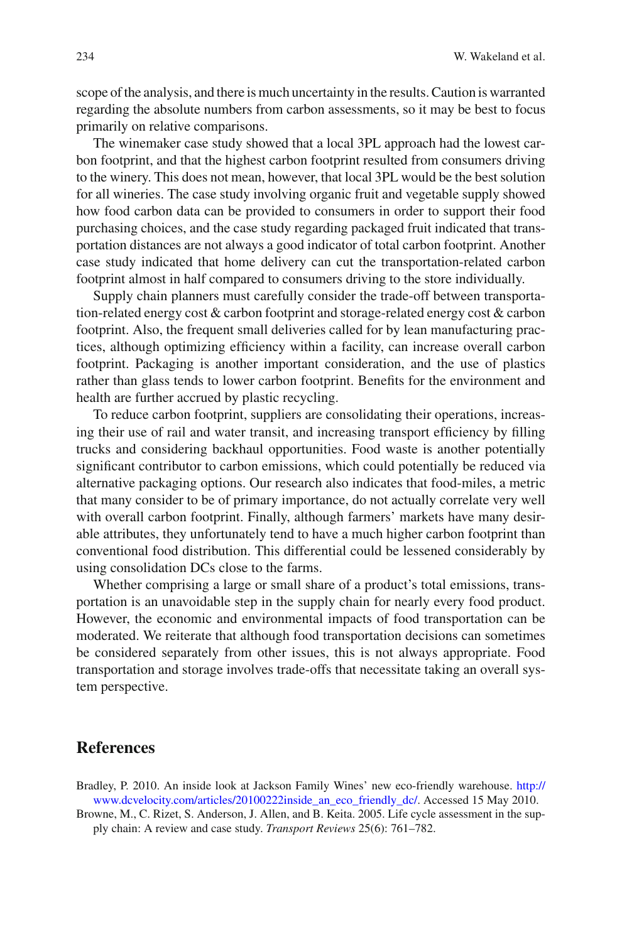<span id="page-23-0"></span>scope of the analysis, and there is much uncertainty in the results. Caution is warranted regarding the absolute numbers from carbon assessments, so it may be best to focus primarily on relative comparisons.

 The winemaker case study showed that a local 3PL approach had the lowest carbon footprint, and that the highest carbon footprint resulted from consumers driving to the winery. This does not mean, however, that local 3PL would be the best solution for all wineries. The case study involving organic fruit and vegetable supply showed how food carbon data can be provided to consumers in order to support their food purchasing choices, and the case study regarding packaged fruit indicated that transportation distances are not always a good indicator of total carbon footprint. Another case study indicated that home delivery can cut the transportation-related carbon footprint almost in half compared to consumers driving to the store individually.

 Supply chain planners must carefully consider the trade-off between transportation-related energy cost & carbon footprint and storage-related energy cost & carbon footprint. Also, the frequent small deliveries called for by lean manufacturing practices, although optimizing efficiency within a facility, can increase overall carbon footprint. Packaging is another important consideration, and the use of plastics rather than glass tends to lower carbon footprint. Benefits for the environment and health are further accrued by plastic recycling.

 To reduce carbon footprint, suppliers are consolidating their operations, increasing their use of rail and water transit, and increasing transport efficiency by filling trucks and considering backhaul opportunities. Food waste is another potentially significant contributor to carbon emissions, which could potentially be reduced via alternative packaging options. Our research also indicates that food-miles, a metric that many consider to be of primary importance, do not actually correlate very well with overall carbon footprint. Finally, although farmers' markets have many desirable attributes, they unfortunately tend to have a much higher carbon footprint than conventional food distribution. This differential could be lessened considerably by using consolidation DCs close to the farms.

 Whether comprising a large or small share of a product's total emissions, transportation is an unavoidable step in the supply chain for nearly every food product. However, the economic and environmental impacts of food transportation can be moderated. We reiterate that although food transportation decisions can sometimes be considered separately from other issues, this is not always appropriate. Food transportation and storage involves trade-offs that necessitate taking an overall system perspective.

# **References**

Bradley, P. 2010. An inside look at Jackson Family Wines' new eco-friendly warehouse. [http://](http://www.dcvelocity.com/articles/20100222inside_an_eco_friendly_dc/) [www.dcvelocity.com/articles/20100222inside\\_an\\_eco\\_friendly\\_dc/](http://www.dcvelocity.com/articles/20100222inside_an_eco_friendly_dc/). Accessed 15 May 2010.

 Browne, M., C. Rizet, S. Anderson, J. Allen, and B. Keita. 2005. Life cycle assessment in the supply chain: A review and case study. *Transport Reviews* 25(6): 761–782.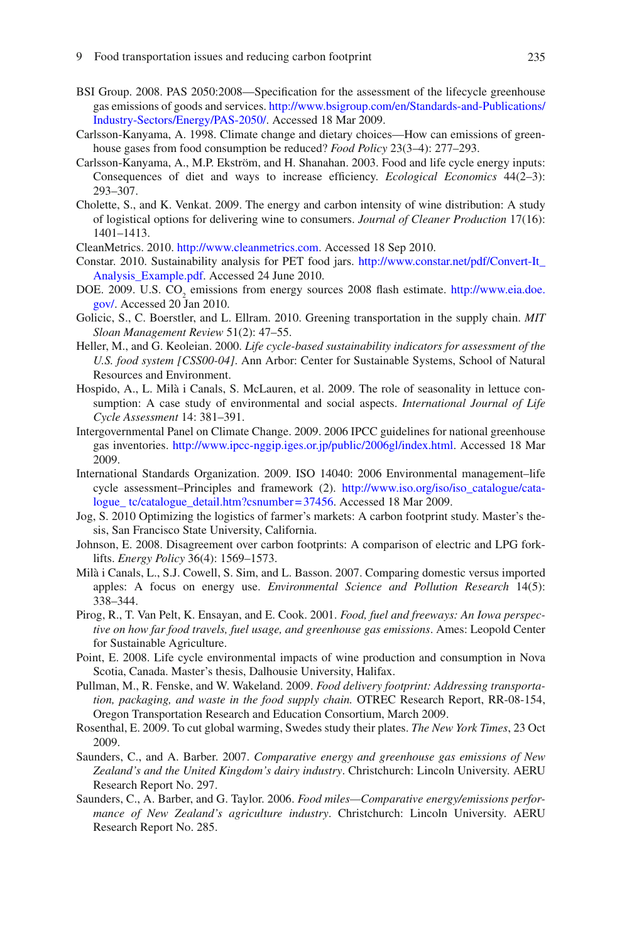- <span id="page-24-0"></span>BSI Group. 2008. PAS 2050:2008—Specification for the assessment of the lifecycle greenhouse gas emissions of goods and services. [http://www.bsigroup.com/en/Standards-and-Publications/](http://www.bsigroup.com/en/Standards-and-Publications/Industry-Sectors/Energy/PAS-2050/) [Industry-Sectors/Energy/PAS-2050/](http://www.bsigroup.com/en/Standards-and-Publications/Industry-Sectors/Energy/PAS-2050/) . Accessed 18 Mar 2009.
- Carlsson-Kanyama, A. 1998. Climate change and dietary choices—How can emissions of greenhouse gases from food consumption be reduced? *Food Policy* 23(3–4): 277–293.
- Carlsson-Kanyama, A., M.P. Ekström, and H. Shanahan. 2003. Food and life cycle energy inputs: Consequences of diet and ways to increase efficiency. *Ecological Economics* 44(2-3): 293–307.
- Cholette, S., and K. Venkat. 2009. The energy and carbon intensity of wine distribution: A study of logistical options for delivering wine to consumers. *Journal of Cleaner Production* 17(16): 1401–1413.
- CleanMetrics. 2010.<http://www.cleanmetrics.com> . Accessed 18 Sep 2010.
- Constar. 2010. Sustainability analysis for PET food jars. [http://www.constar.net/pdf/Convert-It\\_](http://www.constar.net/pdf/Convert-It_Analysis_Example.pdf) Analysis Example.pdf. Accessed 24 June 2010.
- DOE. 2009. U.S. CO<sub>2</sub> emissions from energy sources 2008 flash estimate. [http://www.eia.doe.](http://www.eia.doe.gov/) [gov/ .](http://www.eia.doe.gov/) Accessed 20 Jan 2010.
- Golicic, S., C. Boerstler, and L. Ellram. 2010. Greening transportation in the supply chain. *MIT Sloan Management Review* 51(2): 47–55.
- Heller, M., and G. Keoleian. 2000. *Life cycle-based sustainability indicators for assessment of the U.S. food system [CSS00-04]* . Ann Arbor: Center for Sustainable Systems, School of Natural Resources and Environment.
- Hospido, A., L. Milà i Canals, S. McLauren, et al. 2009. The role of seasonality in lettuce consumption: A case study of environmental and social aspects. *International Journal of Life Cycle Assessment* 14: 381–391.
- Intergovernmental Panel on Climate Change. 2009. 2006 IPCC guidelines for national greenhouse gas inventories. <http://www.ipcc-nggip.iges.or.jp/public/2006gl/index.html> . Accessed 18 Mar 2009.
- International Standards Organization. 2009. ISO 14040: 2006 Environmental management–life cycle assessment–Principles and framework (2). [http://www.iso.org/iso/iso\\_catalogue/cata](http://www.iso.org/iso/iso_catalogue/catalogue_ tc/catalogue_detail.htm?csnumber<2009>=<2009>37456)[logue\\_ tc/catalogue\\_detail.htm?csnumber = 37456 .](http://www.iso.org/iso/iso_catalogue/catalogue_ tc/catalogue_detail.htm?csnumber<2009>=<2009>37456) Accessed 18 Mar 2009.
- Jog, S. 2010 Optimizing the logistics of farmer's markets: A carbon footprint study. Master's thesis, San Francisco State University, California.
- Johnson, E. 2008. Disagreement over carbon footprints: A comparison of electric and LPG forklifts. *Energy Policy* 36(4): 1569–1573.
- Milà i Canals, L., S.J. Cowell, S. Sim, and L. Basson. 2007. Comparing domestic versus imported apples: A focus on energy use. *Environmental Science and Pollution Research* 14(5): 338–344.
- Pirog, R., T. Van Pelt, K. Ensayan, and E. Cook. 2001. *Food, fuel and freeways: An Iowa perspective on how far food travels, fuel usage, and greenhouse gas emissions* . Ames: Leopold Center for Sustainable Agriculture.
- Point, E. 2008. Life cycle environmental impacts of wine production and consumption in Nova Scotia, Canada. Master's thesis, Dalhousie University, Halifax.
- Pullman, M., R. Fenske, and W. Wakeland. 2009. *Food delivery footprint: Addressing transportation, packaging, and waste in the food supply chain.* OTREC Research Report, RR-08-154, Oregon Transportation Research and Education Consortium, March 2009.
- Rosenthal, E. 2009. To cut global warming, Swedes study their plates. *The New York Times* , 23 Oct 2009.
- Saunders, C., and A. Barber. 2007. *Comparative energy and greenhouse gas emissions of New Zealand's and the United Kingdom's dairy industry* . Christchurch: Lincoln University. AERU Research Report No. 297.
- Saunders, C., A. Barber, and G. Taylor. 2006. *Food miles—Comparative energy/emissions performance of New Zealand's agriculture industry* . Christchurch: Lincoln University. AERU Research Report No. 285.